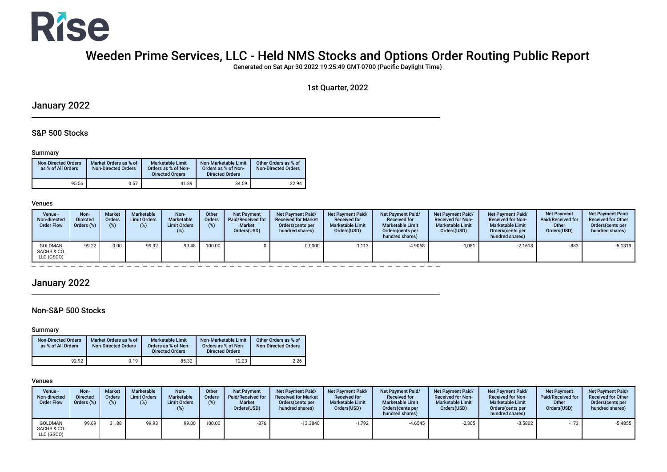

# Weeden Prime Services, LLC - Held NMS Stocks and Options Order Routing Public Report

Generated on Sat Apr 30 2022 19:25:49 GMT-0700 (Pacifc Daylight Time)

1st Quarter, 2022

## January 2022

### S&P 500 Stocks

#### Summary

| <b>Non-Directed Orders</b><br>as % of All Orders | Market Orders as % of<br><b>Non-Directed Orders</b> | <b>Marketable Limit</b><br>Orders as % of Non-<br><b>Directed Orders</b> | Non-Marketable Limit<br>Orders as % of Non-<br><b>Directed Orders</b> | Other Orders as % of<br><b>Non-Directed Orders</b> |
|--------------------------------------------------|-----------------------------------------------------|--------------------------------------------------------------------------|-----------------------------------------------------------------------|----------------------------------------------------|
| 95.56                                            | 0.57                                                | 41.89                                                                    | 34.59                                                                 | 22.94                                              |

#### Venues

| Venue -<br>Non-directed<br><b>Order Flow</b> | Non-<br><b>Directed</b><br>Orders (%) | <b>Market</b><br><b>Orders</b><br>$(\%)$ | <b>Marketable</b><br><b>Limit Orders</b><br>(%) | Non-<br>Marketable<br><b>Limit Orders</b><br>(%) | Other<br><b>Orders</b><br>(%) | <b>Net Payment</b><br>Paid/Received for<br><b>Market</b><br>Orders(USD) | Net Payment Paid/<br><b>Received for Market</b><br>Orders (cents per<br>hundred shares) | Net Payment Paid/<br><b>Received for</b><br><b>Marketable Limit</b><br>Orders(USD) | <b>Net Payment Paid/</b><br><b>Received for</b><br><b>Marketable Limit</b><br>Orders (cents per<br>hundred shares) | Net Payment Paid/<br><b>Received for Non-</b><br><b>Marketable Limit</b><br>Orders(USD) | <b>Net Payment Paid/</b><br><b>Received for Non-</b><br><b>Marketable Limit</b><br>Orders(cents per<br>hundred shares) | <b>Net Payment</b><br><b>Paid/Received for</b><br>Other<br>Orders(USD) | Net Payment Paid/<br><b>Received for Other</b><br>Orders (cents per<br>hundred shares) |
|----------------------------------------------|---------------------------------------|------------------------------------------|-------------------------------------------------|--------------------------------------------------|-------------------------------|-------------------------------------------------------------------------|-----------------------------------------------------------------------------------------|------------------------------------------------------------------------------------|--------------------------------------------------------------------------------------------------------------------|-----------------------------------------------------------------------------------------|------------------------------------------------------------------------------------------------------------------------|------------------------------------------------------------------------|----------------------------------------------------------------------------------------|
| GOLDMAN<br>SACHS & CO.<br>LLC (GSCO)         | 99.22                                 | 0.00                                     | 99.92                                           | 99.48                                            | 100.00                        |                                                                         | 0.0000                                                                                  | $-1,113$                                                                           | $-4.9068$                                                                                                          | $-1,081$                                                                                | $-2.1618$                                                                                                              | $-883$                                                                 | $-5.1319$                                                                              |

# January 2022

### Non-S&P 500 Stocks

#### Summary

| <b>Non-Directed Orders</b><br>as % of All Orders | Market Orders as % of<br><b>Non-Directed Orders</b> | <b>Marketable Limit</b><br>Orders as % of Non-<br><b>Directed Orders</b> | Non-Marketable Limit<br>Orders as % of Non-<br><b>Directed Orders</b> | Other Orders as % of<br><b>Non-Directed Orders</b> |
|--------------------------------------------------|-----------------------------------------------------|--------------------------------------------------------------------------|-----------------------------------------------------------------------|----------------------------------------------------|
| 92.92                                            | 0.19                                                | 85.32                                                                    | 12.23                                                                 | 2.26                                               |

#### Venues

| Venue -<br>Non-directed<br><b>Order Flow</b> | Non-<br><b>Directed</b><br>Orders (%) | <b>Market</b><br>Orders<br>(%) | Marketable<br><b>Limit Orders</b><br>(%) | Non-<br>Marketable<br><b>Limit Orders</b><br>(% ) | Other<br><b>Orders</b><br>(%) | <b>Net Payment</b><br><b>Paid/Received for</b><br><b>Market</b><br>Orders(USD) | Net Payment Paid/<br><b>Received for Market</b><br>Orders (cents per<br>hundred shares) | <b>Net Payment Paid/</b><br><b>Received for</b><br><b>Marketable Limit</b><br>Orders(USD) | Net Payment Paid/<br><b>Received for</b><br><b>Marketable Limit</b><br>Orders (cents per<br>hundred shares) | Net Payment Paid/<br><b>Received for Non-</b><br><b>Marketable Limit</b><br>Orders(USD) | <b>Net Payment Paid/</b><br><b>Received for Non-</b><br><b>Marketable Limit</b><br>Orders (cents per<br>hundred shares) | <b>Net Payment</b><br><b>Paid/Received for</b><br>Other<br>Orders(USD) | <b>Net Payment Paid/</b><br><b>Received for Other</b><br>Orders (cents per<br>hundred shares) |
|----------------------------------------------|---------------------------------------|--------------------------------|------------------------------------------|---------------------------------------------------|-------------------------------|--------------------------------------------------------------------------------|-----------------------------------------------------------------------------------------|-------------------------------------------------------------------------------------------|-------------------------------------------------------------------------------------------------------------|-----------------------------------------------------------------------------------------|-------------------------------------------------------------------------------------------------------------------------|------------------------------------------------------------------------|-----------------------------------------------------------------------------------------------|
| <b>GOLDMAN</b><br>SACHS & CO.<br>LLC (GSCO)  | 99.69                                 | 31.88                          | 99.93                                    | 99.00                                             | 100.00                        | -876                                                                           | $-13.3840$                                                                              | $-1.792$                                                                                  | -4.6545                                                                                                     | $-2,305$                                                                                | $-3.5802$                                                                                                               | $-173$                                                                 | $-5.4855$                                                                                     |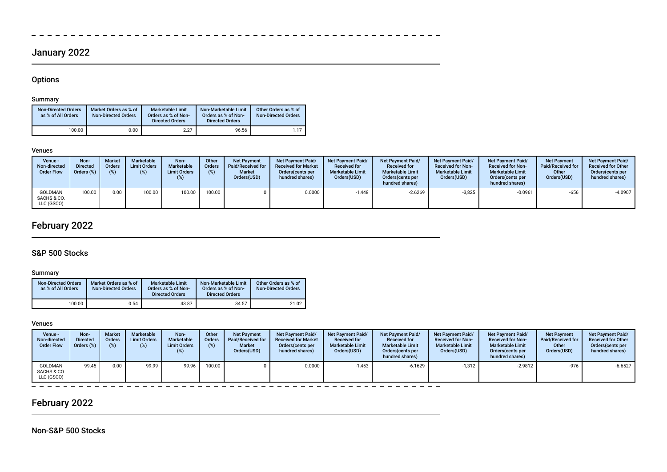# January 2022

## **Options**

 $\sim$ 

#### Summary

| <b>Non-Directed Orders</b><br>as % of All Orders | Market Orders as % of<br><b>Non-Directed Orders</b> | <b>Marketable Limit</b><br>Orders as % of Non-<br><b>Directed Orders</b> | Non-Marketable Limit<br>Orders as % of Non-<br><b>Directed Orders</b> | Other Orders as % of<br><b>Non-Directed Orders</b> |
|--------------------------------------------------|-----------------------------------------------------|--------------------------------------------------------------------------|-----------------------------------------------------------------------|----------------------------------------------------|
| 100.00                                           | 0.00                                                | 2.27                                                                     | 96.56                                                                 | 1 1 7                                              |

#### Venues

| Venue -<br>Non-directed<br><b>Order Flow</b> | Non-<br><b>Directed</b><br>Orders (%) | <b>Market</b><br>Orders<br>$(\%)$ | <b>Marketable</b><br><b>Limit Orders</b><br>(%) | Non-<br>Marketable<br><b>Limit Orders</b> | Other<br><b>Orders</b><br>(%) | <b>Net Payment</b><br>Paid/Received for<br><b>Market</b><br>Orders(USD) | <b>Net Payment Paid/</b><br><b>Received for Market</b><br>Orders (cents per<br>hundred shares) | <b>Net Payment Paid/</b><br><b>Received for</b><br><b>Marketable Limit</b><br>Orders(USD) | <b>Net Payment Paid/</b><br><b>Received for</b><br><b>Marketable Limit</b><br>Orders (cents per<br>hundred shares) | Net Payment Paid/<br><b>Received for Non-</b><br><b>Marketable Limit</b><br>Orders(USD) | <b>Net Payment Paid/</b><br><b>Received for Non-</b><br><b>Marketable Limit</b><br>Orders(cents per<br>hundred shares) | Net Payment<br>Paid/Received for<br>Other<br>Orders(USD) | Net Payment Paid/<br><b>Received for Other</b><br>Orders (cents per<br>hundred shares) |
|----------------------------------------------|---------------------------------------|-----------------------------------|-------------------------------------------------|-------------------------------------------|-------------------------------|-------------------------------------------------------------------------|------------------------------------------------------------------------------------------------|-------------------------------------------------------------------------------------------|--------------------------------------------------------------------------------------------------------------------|-----------------------------------------------------------------------------------------|------------------------------------------------------------------------------------------------------------------------|----------------------------------------------------------|----------------------------------------------------------------------------------------|
| GOLDMAN<br>SACHS & CO.<br>LLC (GSCO)         | 100.00                                | 0.00                              | 100.00                                          | 100.00                                    | 100.00                        |                                                                         | 0.0000                                                                                         | $-1.448$                                                                                  | -2.6269                                                                                                            | $-3,825$                                                                                | $-0.0961$                                                                                                              | $-656$                                                   | $-4.0907$                                                                              |

 $\sim$   $-$ 

# February 2022

## S&P 500 Stocks

### Summary

| <b>Non-Directed Orders</b><br>as % of All Orders | Market Orders as % of<br><b>Non-Directed Orders</b> | <b>Marketable Limit</b><br>Orders as % of Non-<br><b>Directed Orders</b> | Non-Marketable Limit<br>Orders as % of Non-<br><b>Directed Orders</b> | Other Orders as % of<br><b>Non-Directed Orders</b> |
|--------------------------------------------------|-----------------------------------------------------|--------------------------------------------------------------------------|-----------------------------------------------------------------------|----------------------------------------------------|
| 100.00                                           | 0.54                                                | 43.87                                                                    | 34.57                                                                 | 21.02                                              |

#### Venues

| Venue -<br>Non-directed<br><b>Order Flow</b> | Non-<br><b>Directed</b><br>Orders (%) | <b>Market</b><br><b>Orders</b><br>$(\%)$ | <b>Marketable</b><br><b>Limit Orders</b> | Non-<br>Marketable<br><b>Limit Orders</b><br>(%) | Other<br><b>Orders</b><br>(%) | <b>Net Payment</b><br>Paid/Received for<br><b>Market</b><br>Orders(USD) | Net Payment Paid/<br><b>Received for Market</b><br>Orders (cents per<br>hundred shares) | Net Payment Paid/<br><b>Received for</b><br><b>Marketable Limit</b><br>Orders(USD) | <b>Net Payment Paid/</b><br><b>Received for</b><br><b>Marketable Limit</b><br>Orders (cents per<br>hundred shares) | Net Payment Paid/<br><b>Received for Non-</b><br><b>Marketable Limit</b><br>Orders(USD) | Net Payment Paid/<br><b>Received for Non-</b><br><b>Marketable Limit</b><br>Orders (cents per<br>hundred shares) | <b>Net Payment</b><br>Paid/Received for<br>Other<br>Orders(USD) | Net Payment Paid/<br><b>Received for Other</b><br>Orders (cents per<br>hundred shares) |
|----------------------------------------------|---------------------------------------|------------------------------------------|------------------------------------------|--------------------------------------------------|-------------------------------|-------------------------------------------------------------------------|-----------------------------------------------------------------------------------------|------------------------------------------------------------------------------------|--------------------------------------------------------------------------------------------------------------------|-----------------------------------------------------------------------------------------|------------------------------------------------------------------------------------------------------------------|-----------------------------------------------------------------|----------------------------------------------------------------------------------------|
| GOLDMAN<br>SACHS & CO.<br>LLC (GSCO)         | 99.45                                 | 0.00                                     | 99.99                                    | 99.96                                            | 100.00                        |                                                                         | 0.0000                                                                                  | $-1,453$                                                                           | $-6.1629$                                                                                                          | $-1,312$                                                                                | $-2.9812$                                                                                                        | $-976$                                                          | $-6.6527$                                                                              |

# February 2022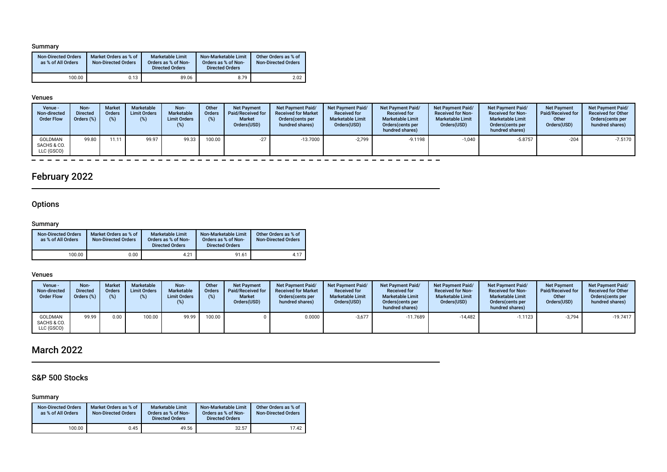#### Summary

| <b>Non-Directed Orders</b><br>as % of All Orders | Market Orders as % of<br><b>Non-Directed Orders</b> | <b>Marketable Limit</b><br>Orders as % of Non-<br><b>Directed Orders</b> | Non-Marketable Limit<br>Orders as % of Non-<br><b>Directed Orders</b> | Other Orders as % of<br><b>Non-Directed Orders</b> |
|--------------------------------------------------|-----------------------------------------------------|--------------------------------------------------------------------------|-----------------------------------------------------------------------|----------------------------------------------------|
| 100.00                                           | 0.13                                                | 89.06                                                                    | 8.79                                                                  | 2.02                                               |

#### Venues

| Venue -<br>Non-directed<br><b>Order Flow</b> | Non-<br><b>Directed</b><br>Orders (%) | <b>Market</b><br><b>Orders</b><br>(%) | Marketable<br><b>Limit Orders</b><br>(%) | Non-<br>Marketable<br><b>Limit Orders</b><br>(%) | Other<br><b>Orders</b><br>(%) | <b>Net Payment</b><br>Paid/Received for<br><b>Market</b><br>Orders(USD) | <b>Net Payment Paid/</b><br><b>Received for Market</b><br>Orders (cents per<br>hundred shares) | <b>Net Payment Paid/</b><br><b>Received for</b><br><b>Marketable Limit</b><br>Orders(USD) | <b>Net Payment Paid/</b><br><b>Received for</b><br><b>Marketable Limit</b><br>Orders (cents per<br>hundred shares) | <b>Net Payment Paid/</b><br><b>Received for Non-</b><br><b>Marketable Limit</b><br>Orders(USD) | <b>Net Payment Paid/</b><br><b>Received for Non-</b><br><b>Marketable Limit</b><br>Orders (cents per<br>hundred shares) | <b>Net Payment</b><br>Paid/Received for<br>Other<br>Orders(USD) | Net Payment Paid/<br><b>Received for Other</b><br>Orders cents per<br>hundred shares) |
|----------------------------------------------|---------------------------------------|---------------------------------------|------------------------------------------|--------------------------------------------------|-------------------------------|-------------------------------------------------------------------------|------------------------------------------------------------------------------------------------|-------------------------------------------------------------------------------------------|--------------------------------------------------------------------------------------------------------------------|------------------------------------------------------------------------------------------------|-------------------------------------------------------------------------------------------------------------------------|-----------------------------------------------------------------|---------------------------------------------------------------------------------------|
| GOLDMAN<br>SACHS & CO.<br>LLC (GSCO)         | 99.80                                 | 11.11                                 | 99.97                                    | 99.33                                            | 100.00                        | $-27$                                                                   | $-13.7000$                                                                                     | $-2.799$                                                                                  | $-9.1198$                                                                                                          | $-1,040$                                                                                       | $-5.8757$                                                                                                               | $-204$                                                          | $-7.5170$                                                                             |

 $\equiv$  $\equiv$   $\equiv$   $\equiv$ 

# February 2022

## **Options**

 $\overline{\phantom{a}}$ 

### Summary

| <b>Non-Directed Orders</b><br>as % of All Orders | Market Orders as % of<br><b>Non-Directed Orders</b> | <b>Marketable Limit</b><br>Orders as % of Non-<br><b>Directed Orders</b> | Non-Marketable Limit<br>Orders as % of Non-<br><b>Directed Orders</b> | Other Orders as % of<br><b>Non-Directed Orders</b> |
|--------------------------------------------------|-----------------------------------------------------|--------------------------------------------------------------------------|-----------------------------------------------------------------------|----------------------------------------------------|
| 100.00                                           | 0.00                                                | 4.21                                                                     | 91.61                                                                 | 4.17                                               |

 $\frac{1}{2}$  =  $\frac{1}{2}$  =  $\frac{1}{2}$ 

 $\equiv$ 

T

#### Venues

| Venue -<br>Non-directed<br><b>Order Flow</b> | Non-<br><b>Directed</b><br>Orders (%) | <b>Market</b><br><b>Orders</b><br>(%) | <b>Marketable</b><br><b>Limit Orders</b><br>(%) | Non-<br>Marketable<br><b>Limit Orders</b> | Other<br><b>Orders</b><br>(%) | <b>Net Payment</b><br><b>Paid/Received for</b><br><b>Market</b><br>Orders(USD) | <b>Net Payment Paid/</b><br><b>Received for Market</b><br>Orders (cents per<br>hundred shares) | <b>Net Payment Paid/</b><br><b>Received for</b><br><b>Marketable Limit</b><br>Orders(USD) | <b>Net Payment Paid/</b><br><b>Received for</b><br><b>Marketable Limit</b><br>Orders(cents per<br>hundred shares) | <b>Net Payment Paid/</b><br><b>Received for Non-</b><br><b>Marketable Limit</b><br>Orders(USD) | <b>Net Payment Paid/</b><br><b>Received for Non-</b><br><b>Marketable Limit</b><br>Orders(cents per<br>hundred shares) | <b>Net Payment</b><br>Paid/Received for<br>Other<br>Orders(USD) | Net Payment Paid/<br><b>Received for Other</b><br>Orders(cents per<br>hundred shares) |
|----------------------------------------------|---------------------------------------|---------------------------------------|-------------------------------------------------|-------------------------------------------|-------------------------------|--------------------------------------------------------------------------------|------------------------------------------------------------------------------------------------|-------------------------------------------------------------------------------------------|-------------------------------------------------------------------------------------------------------------------|------------------------------------------------------------------------------------------------|------------------------------------------------------------------------------------------------------------------------|-----------------------------------------------------------------|---------------------------------------------------------------------------------------|
| GOLDMAN<br>SACHS & CO.<br>LLC (GSCO)         | 99.99                                 | 0.00                                  | 100.00                                          | 99.99                                     | 100.00                        |                                                                                | 0.0000                                                                                         | $-3,677$                                                                                  | $-11.7689$                                                                                                        | $-14,482$                                                                                      | $-1.1123$                                                                                                              | $-3.794$                                                        | $-19.7417$                                                                            |

# March 2022

### S&P 500 Stocks

### Summary

| <b>Non-Directed Orders</b><br>as % of All Orders | Market Orders as % of<br><b>Non-Directed Orders</b> | Marketable Limit<br>Orders as % of Non-<br><b>Directed Orders</b> | Non-Marketable Limit<br>Orders as % of Non-<br><b>Directed Orders</b> | Other Orders as % of<br><b>Non-Directed Orders</b> |
|--------------------------------------------------|-----------------------------------------------------|-------------------------------------------------------------------|-----------------------------------------------------------------------|----------------------------------------------------|
| 100.00                                           | 0.45                                                | 49.56                                                             | 32.57                                                                 | 17.42                                              |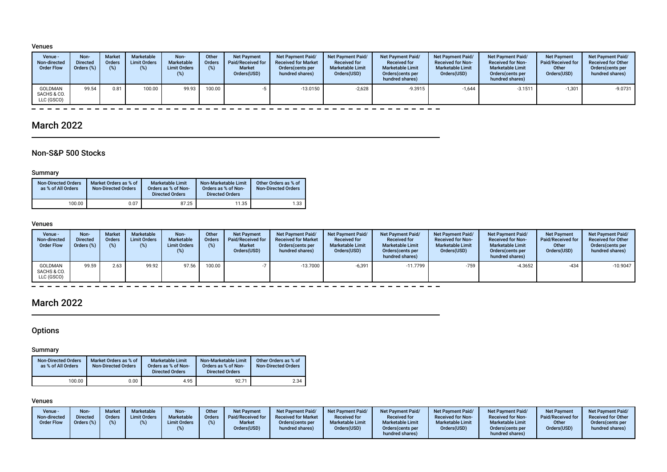#### Venues

| Venue -<br>Non-directed<br><b>Order Flow</b> | Non-<br>Directed<br>Orders (%) | <b>Market</b><br><b>Orders</b><br>(9) | <b>Marketable</b><br><b>Limit Orders</b><br>$(\%)$ | Non-<br><b>Marketable</b><br><b>Limit Orders</b><br>(%) | Other<br><b>Orders</b><br>(%) | <b>Net Payment</b><br>Paid/Received for<br><b>Market</b><br>Orders(USD) | Net Payment Paid/<br><b>Received for Market</b><br>Orders (cents per<br>hundred shares) | <b>Net Payment Paid/</b><br><b>Received for</b><br><b>Marketable Limit</b><br>Orders(USD) | <b>Net Payment Paid/</b><br><b>Received for</b><br><b>Marketable Limit</b><br>Orders (cents per<br>hundred shares) | Net Payment Paid/<br><b>Received for Non-</b><br><b>Marketable Limit</b><br>Orders(USD) | <b>Net Payment Paid/</b><br><b>Received for Non-</b><br><b>Marketable Limit</b><br>Orders (cents per<br>hundred shares) | <b>Net Payment</b><br>Paid/Received for<br>Other<br>Orders(USD) | <b>Net Payment Paid/</b><br><b>Received for Other</b><br>Orders cents per<br>hundred shares) |
|----------------------------------------------|--------------------------------|---------------------------------------|----------------------------------------------------|---------------------------------------------------------|-------------------------------|-------------------------------------------------------------------------|-----------------------------------------------------------------------------------------|-------------------------------------------------------------------------------------------|--------------------------------------------------------------------------------------------------------------------|-----------------------------------------------------------------------------------------|-------------------------------------------------------------------------------------------------------------------------|-----------------------------------------------------------------|----------------------------------------------------------------------------------------------|
| GOLDMAN<br>SACHS & CO.<br>LLC (GSCO)         | 99.54                          | 0.81                                  | 100.00                                             | 99.93                                                   | 100.00 <sub>1</sub>           |                                                                         | $-13.0150$                                                                              | $-2,628$                                                                                  | -9.3915                                                                                                            | $-1,644$                                                                                | $-3.1511$                                                                                                               | $-1,301$                                                        | -9.0731                                                                                      |

## March 2022

### Non-S&P 500 Stocks

#### Summary

| <b>Non-Directed Orders</b><br>as % of All Orders | Market Orders as % of<br><b>Non-Directed Orders</b> | <b>Marketable Limit</b><br>Orders as % of Non-<br><b>Directed Orders</b> | Non-Marketable Limit<br>Orders as % of Non-<br><b>Directed Orders</b> | Other Orders as % of<br><b>Non-Directed Orders</b> |
|--------------------------------------------------|-----------------------------------------------------|--------------------------------------------------------------------------|-----------------------------------------------------------------------|----------------------------------------------------|
| 100.00                                           | 0.07                                                | 87.25                                                                    | 11.35                                                                 | 1.33                                               |

#### Venues

| Venue -<br>Non-directed<br><b>Order Flow</b> | Non-<br><b>Directed</b><br>Orders (%) | <b>Market</b><br>Orders<br>$(\%)$ | Marketable<br><b>Limit Orders</b><br>(%) | Non-<br>Marketable<br><b>Limit Orders</b><br>(%) | Other<br><b>Orders</b><br>(%) | <b>Net Payment</b><br>Paid/Received for<br><b>Market</b><br>Orders(USD) | <b>Net Payment Paid/</b><br><b>Received for Market</b><br>Orders (cents per<br>hundred shares) | <b>Net Payment Paid/</b><br><b>Received for</b><br><b>Marketable Limit</b><br>Orders(USD) | <b>Net Payment Paid/</b><br><b>Received for</b><br><b>Marketable Limit</b><br>Orders (cents per<br>hundred shares) | Net Payment Paid/<br><b>Received for Non-</b><br><b>Marketable Limit</b><br>Orders(USD) | <b>Net Payment Paid/</b><br><b>Received for Non-</b><br><b>Marketable Limit</b><br>Orders(cents per<br>hundred shares) | <b>Net Payment</b><br>Paid/Received for<br>Other<br>Orders(USD) | <b>Net Payment Paid/</b><br><b>Received for Other</b><br>Orders(cents per<br>hundred shares) |
|----------------------------------------------|---------------------------------------|-----------------------------------|------------------------------------------|--------------------------------------------------|-------------------------------|-------------------------------------------------------------------------|------------------------------------------------------------------------------------------------|-------------------------------------------------------------------------------------------|--------------------------------------------------------------------------------------------------------------------|-----------------------------------------------------------------------------------------|------------------------------------------------------------------------------------------------------------------------|-----------------------------------------------------------------|----------------------------------------------------------------------------------------------|
| GOLDMAN<br>SACHS & CO.<br>LLC (GSCO)         | 99.59                                 | 2.63                              | 99.92                                    | 97.56                                            | 100.00                        |                                                                         | $-13.7000$                                                                                     | $-6,391$                                                                                  | $-11.7799$                                                                                                         | $-759$                                                                                  | -4.3652                                                                                                                | $-434$                                                          | $-10.9047$                                                                                   |

## March 2022

## **Options**

### Summary

| <b>Non-Directed Orders</b><br>as % of All Orders | Market Orders as % of<br><b>Non-Directed Orders</b> | <b>Marketable Limit</b><br>Orders as % of Non-<br><b>Directed Orders</b> | Non-Marketable Limit<br>Orders as % of Non-<br><b>Directed Orders</b> | Other Orders as % of<br><b>Non-Directed Orders</b> |
|--------------------------------------------------|-----------------------------------------------------|--------------------------------------------------------------------------|-----------------------------------------------------------------------|----------------------------------------------------|
| 100.00                                           | 0.00                                                | 4.95                                                                     | 92.71                                                                 | 2.34                                               |

#### Venues

| Venue -<br>Non-directed<br><b>Order Flow</b> | Non-<br><b>Market</b><br>Orders<br><b>Directed</b><br>Orders (%)<br>(% ) | <b>Marketable</b><br><b>Limit Orders</b> | Non-<br>Marketable<br><b>Limit Orders</b><br>(%) | Other<br><b>Orders</b> | <b>Net Payment</b><br>Paid/Received for<br><b>Market</b><br>Orders(USD) | <b>Net Payment Paid/</b><br><b>Received for Market</b><br>Orders (cents per<br>hundred shares) | Net Payment Paid/<br><b>Received for</b><br><b>Marketable Limit</b><br>Orders(USD) | <b>Net Payment Paid/</b><br><b>Received for</b><br><b>Marketable Limit</b><br>Orders (cents per<br>hundred shares) | Net Payment Paid/<br><b>Received for Non-</b><br><b>Marketable Limit</b><br>Orders(USD) | <b>Net Payment Paid/</b><br><b>Received for Non-</b><br><b>Marketable Limit</b><br>Orders(cents per<br>hundred shares) | <b>Net Payment</b><br>Paid/Received for<br>Other<br>Orders(USD) | <b>Net Payment Paid/</b><br><b>Received for Other</b><br>Orders (cents per<br>hundred shares) |
|----------------------------------------------|--------------------------------------------------------------------------|------------------------------------------|--------------------------------------------------|------------------------|-------------------------------------------------------------------------|------------------------------------------------------------------------------------------------|------------------------------------------------------------------------------------|--------------------------------------------------------------------------------------------------------------------|-----------------------------------------------------------------------------------------|------------------------------------------------------------------------------------------------------------------------|-----------------------------------------------------------------|-----------------------------------------------------------------------------------------------|
|----------------------------------------------|--------------------------------------------------------------------------|------------------------------------------|--------------------------------------------------|------------------------|-------------------------------------------------------------------------|------------------------------------------------------------------------------------------------|------------------------------------------------------------------------------------|--------------------------------------------------------------------------------------------------------------------|-----------------------------------------------------------------------------------------|------------------------------------------------------------------------------------------------------------------------|-----------------------------------------------------------------|-----------------------------------------------------------------------------------------------|